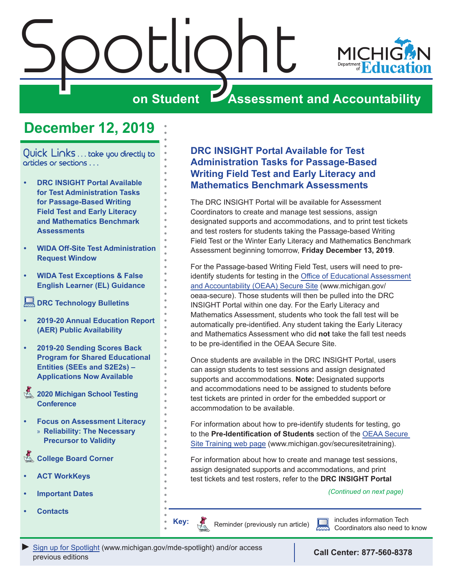<span id="page-0-0"></span>

## **December 12, 2019**

Quick Links ... take you directly to articles or sections . . .

- **• DRC INSIGHT Portal Available for Test Administration Tasks for Passage-Based Writing Field Test and Early Literacy and Mathematics Benchmark Assessments**
- **• [WIDA Off-Site Test Administration](#page-1-0)  [Request Window](#page-1-0)**
- **• [WIDA Test Exceptions & False](#page-1-0)  [English Learner \(EL\) Guidance](#page-1-0)**
- **[DRC Technology Bulletins](#page-1-0)**
- **• [2019-20 Annual Education Report](#page-2-0)  [\(AER\) Public Availability](#page-2-0)**
- **• [2019-20 Sending Scores Back](#page-2-0)  [Program for Shared Educational](#page-2-0)  [Entities \(SEEs and S2E2s\) –](#page-2-0)  [Applications Now Available](#page-2-0)**
- Reminders **[2020 Michigan School Testing](#page-2-0)  [Conference](#page-2-0)**
- **• Focus on Assessment Literacy** » **[Reliability: The Necessary](#page-4-0)  [Precursor to Validity](#page-4-0)**

**College Board Corner** 

- **• [ACT WorkKeys](#page-7-0)**
- **• [Important Dates](#page-9-0)**
- **• [Contacts](#page-10-0)**

### **DRC INSIGHT Portal Available for Test Administration Tasks for Passage-Based Writing Field Test and Early Literacy and Mathematics Benchmark Assessments**

The DRC INSIGHT Portal will be available for Assessment Coordinators to create and manage test sessions, assign designated supports and accommodations, and to print test tickets and test rosters for students taking the Passage-based Writing Field Test or the Winter Early Literacy and Mathematics Benchmark Assessment beginning tomorrow, **Friday December 13, 2019**.

For the Passage-based Writing Field Test, users will need to preidentify students for testing in the [Office of Educational Assessment](http://www.michigan.gov/oeaa-secure)  [and Accountability \(OEAA\) Secure Site](http://www.michigan.gov/oeaa-secure) (www.michigan.gov/ oeaa-secure). Those students will then be pulled into the DRC INSIGHT Portal within one day. For the Early Literacy and Mathematics Assessment, students who took the fall test will be automatically pre-identified. Any student taking the Early Literacy and Mathematics Assessment who did **not** take the fall test needs to be pre-identified in the OEAA Secure Site.

Once students are available in the DRC INSIGHT Portal, users can assign students to test sessions and assign designated supports and accommodations. **Note:** Designated supports and accommodations need to be assigned to students before test tickets are printed in order for the embedded support or accommodation to be available.

For information about how to pre-identify students for testing, go to the **Pre-Identification of Students** section of the [OEAA Secure](http://www.michigan.gov/securesitetraining)  [Site Training web page](http://www.michigan.gov/securesitetraining) (www.michigan.gov/securesitetraining).

For information about how to create and manage test sessions, assign designated supports and accommodations, and print test tickets and test rosters, refer to the **DRC INSIGHT Portal** 

*(Continued on next page)*

Reminder (previously run article)

includes information Tech Coordinators also need to know

**Key:**

Reminders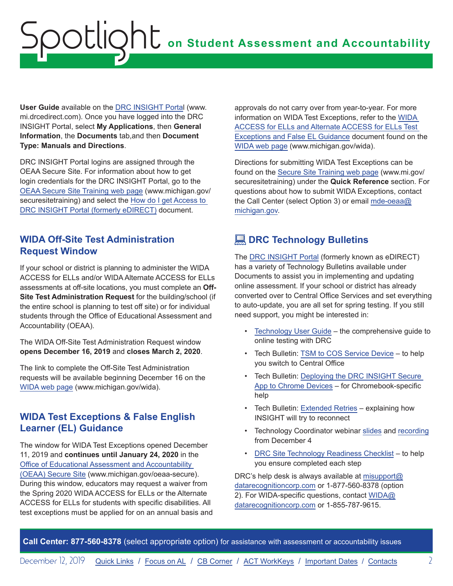<span id="page-1-0"></span>**User Guide** available on the [DRC INSIGHT Porta](https://mi.drcedirect.com)l (www. mi.drcedirect.com). Once you have logged into the DRC INSIGHT Portal, select **My Applications**, then **General Information**, the **Documents** tab,and then **Document Type: Manuals and Directions**.

DRC INSIGHT Portal logins are assigned through the OEAA Secure Site. For information about how to get login credentials for the DRC INSIGHT Portal, go to the [OEAA Secure Site Training web page](http://www.michigan.gov/securesitetraining) (www.michigan.gov/ securesitetraining) and select the [How do I get Access to](https://www.michigan.gov/documents/mde/How_do_I_get_access_to_eDIRECT_604305_7.pdf)  [DRC INSIGHT Portal \(formerly eDIRECT\)](https://www.michigan.gov/documents/mde/How_do_I_get_access_to_eDIRECT_604305_7.pdf) document.

#### **WIDA Off-Site Test Administration Request Window**

If your school or district is planning to administer the WIDA ACCESS for ELLs and/or WIDA Alternate ACCESS for ELLs assessments at off-site locations, you must complete an **Off-Site Test Administration Request** for the building/school (if the entire school is planning to test off site) or for individual students through the Office of Educational Assessment and Accountability (OEAA).

The WIDA Off-Site Test Administration Request window **opens December 16, 2019** and **closes March 2, 2020**.

The link to complete the Off-Site Test Administration requests will be available beginning December 16 on the [WIDA web page](www.michigan.gov/wida) (www.michigan.gov/wida).

### **WIDA Test Exceptions & False English Learner (EL) Guidance**

The window for WIDA Test Exceptions opened December 11, 2019 and **continues until January 24, 2020** in the [Office of Educational Assessment and Accountability](http://www.michigan.gov/oeaa-secure)  [\(OEAA\) Secure Site](http://www.michigan.gov/oeaa-secure) (www.michigan.gov/oeaa-secure). During this window, educators may request a waiver from the Spring 2020 WIDA ACCESS for ELLs or the Alternate ACCESS for ELLs for students with specific disabilities. All test exceptions must be applied for on an annual basis and approvals do not carry over from year-to-year. For more information on WIDA Test Exceptions, refer to the [WIDA](https://www.michigan.gov/documents/mde/WIDA_False_LEP_Guidance_507305_7.pdf)  [ACCESS for ELLs and Alternate ACCESS for ELLs Test](https://www.michigan.gov/documents/mde/WIDA_False_LEP_Guidance_507305_7.pdf)  [Exceptions and False EL Guidance](https://www.michigan.gov/documents/mde/WIDA_False_LEP_Guidance_507305_7.pdf) document found on the [WIDA web page](www.michigan.gov/wida) (www.michigan.gov/wida).

Directions for submitting WIDA Test Exceptions can be found on the [Secure Site Training web page](http://www.michigan.gov/securesitetraining) (www.mi.gov/ securesitetraining) under the **Quick Reference** section. For questions about how to submit WIDA Exceptions, contact the Call Center (select Option 3) or email [mde-oeaa@](mailto:mde-oeaa%40michigan.gov?subject=) [michigan.gov](mailto:mde-oeaa%40michigan.gov?subject=).

## **<u>DRC</u>** Technology Bulletins

The [DRC INSIGHT Portal](https://mi.drcedirect.com) (formerly known as eDIRECT) has a variety of Technology Bulletins available under Documents to assist you in implementing and updating online assessment. If your school or district has already converted over to Central Office Services and set everything to auto-update, you are all set for spring testing. If you still need support, you might be interested in:

- [Technology User Guide](https://mi.drcedirect.com/Documents/Unsecure/Doc.aspx?id=8806189c-073b-459c-9f03-7203ea3a9467) the comprehensive guide to online testing with DRC
- Tech Bulletin: [TSM to COS Service Device](https://mi.drcedirect.com/Documents/Unsecure/Doc.aspx?id=5289b147-2726-4501-a0ef-11bc1be6d221) to help you switch to Central Office
- Tech Bulletin: [Deploying the DRC INSIGHT Secure](https://mi.drcedirect.com/Documents/Unsecure/Doc.aspx?id=8776e201-049f-4174-883b-2d2102faa1d7)  [App to Chrome Devices](https://mi.drcedirect.com/Documents/Unsecure/Doc.aspx?id=8776e201-049f-4174-883b-2d2102faa1d7) – for Chromebook-specific help
- Tech Bulletin: [Extended Retries](https://mi.drcedirect.com/Documents/Unsecure/Doc.aspx?id=33f0dc58-64c0-49c5-8700-d2a0e62c253a) explaining how INSIGHT will try to reconnect
- Technology Coordinator webinar [slides](https://mi.drcedirect.com/Documents/Unsecure/Doc.aspx?id=adbd4371-ba51-4e39-b8e5-b086d4df263a) and [recording](https://datarecognitioncorp.zoom.us/recording/share/7KZVZyrlhIczuKYFqxF_9ANucMY-JMUC3eKzOgJmPjGwIumekTziMw) from December 4
- [DRC Site Technology Readiness Checklist](https://mi.drcedirect.com/Documents/Unsecure/Doc.aspx?id=7de4cead-7692-444a-abff-cfba50095177) to help you ensure completed each step

DRC's help desk is always available at [misupport@](mailto:misupport%40datarecognitioncorp.com?subject=) [datarecognitioncorp.com](mailto:misupport%40datarecognitioncorp.com?subject=) or 1-877-560-8378 (option 2). For WIDA-specific questions, contact [WIDA@](mailto:WIDA%40datarecognitioncorp.com?subject=) [datarecognitioncorp.com](mailto:WIDA%40datarecognitioncorp.com?subject=) or 1-855-787-9615.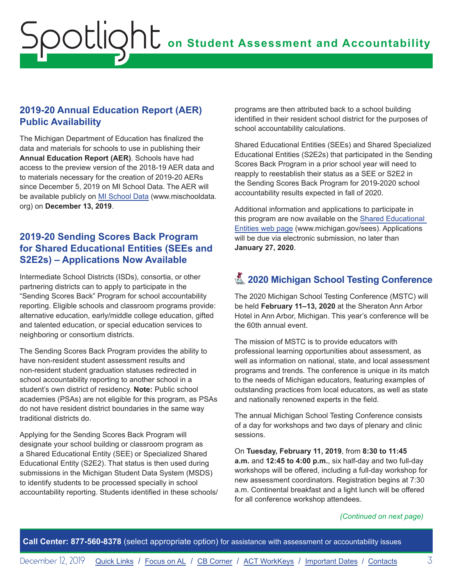### <span id="page-2-0"></span>**2019-20 Annual Education Report (AER) Public Availability**

The Michigan Department of Education has finalized the data and materials for schools to use in publishing their **Annual Education Report (AER)**. Schools have had access to the preview version of the 2018-19 AER data and to materials necessary for the creation of 2019-20 AERs since December 5, 2019 on MI School Data. The AER will be available publicly on [MI School Data](https://www.mischooldata.org/) (www.mischooldata. org) on **December 13, 2019**.

### **2019-20 Sending Scores Back Program for Shared Educational Entities (SEEs and S2E2s) – Applications Now Available**

Intermediate School Districts (ISDs), consortia, or other partnering districts can to apply to participate in the "Sending Scores Back" Program for school accountability reporting. Eligible schools and classroom programs provide: alternative education, early/middle college education, gifted and talented education, or special education services to neighboring or consortium districts.

The Sending Scores Back Program provides the ability to have non-resident student assessment results and non-resident student graduation statuses redirected in school accountability reporting to another school in a student's own district of residency. **Note:** Public school academies (PSAs) are not eligible for this program, as PSAs do not have resident district boundaries in the same way traditional districts do.

Applying for the Sending Scores Back Program will designate your school building or classroom program as a Shared Educational Entity (SEE) or Specialized Shared Educational Entity (S2E2). That status is then used during submissions in the Michigan Student Data System (MSDS) to identify students to be processed specially in school accountability reporting. Students identified in these schools/

programs are then attributed back to a school building identified in their resident school district for the purposes of school accountability calculations.

Shared Educational Entities (SEEs) and Shared Specialized Educational Entities (S2E2s) that participated in the Sending Scores Back Program in a prior school year will need to reapply to reestablish their status as a SEE or S2E2 in the Sending Scores Back Program for 2019-2020 school accountability results expected in fall of 2020.

Additional information and applications to participate in this program are now available on the [Shared Educational](http://www.michigan.gov/sees)  [Entities web page](http://www.michigan.gov/sees) (www.michigan.gov/sees). Applications will be due via electronic submission, no later than **January 27, 2020**.

## **Z** 2020 Michigan School Testing Conference

The 2020 Michigan School Testing Conference (MSTC) will be held **February 11–13, 2020** at the Sheraton Ann Arbor Hotel in Ann Arbor, Michigan. This year's conference will be the 60th annual event.

The mission of MSTC is to provide educators with professional learning opportunities about assessment, as well as information on national, state, and local assessment programs and trends. The conference is unique in its match to the needs of Michigan educators, featuring examples of outstanding practices from local educators, as well as state and nationally renowned experts in the field.

The annual Michigan School Testing Conference consists of a day for workshops and two days of plenary and clinic sessions.

On **Tuesday, February 11, 2019**, from **8:30 to 11:45 a.m.** and **12:45 to 4:00 p.m.**, six half-day and two full-day workshops will be offered, including a full-day workshop for new assessment coordinators. Registration begins at 7:30 a.m. Continental breakfast and a light lunch will be offered for all conference workshop attendees.

#### *(Continued on next page)*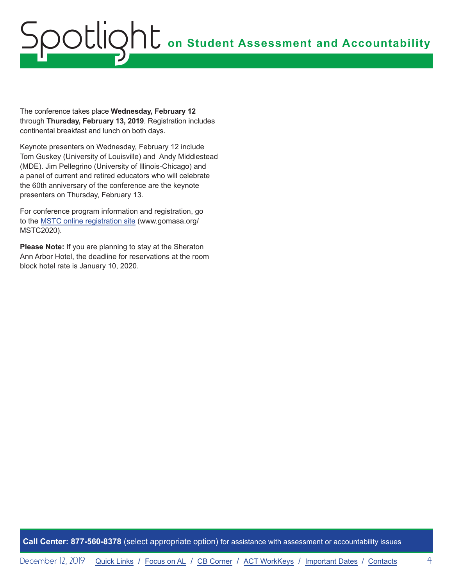The conference takes place **Wednesday, February 12** through **Thursday, February 13, 2019**. Registration includes continental breakfast and lunch on both days.

Keynote presenters on Wednesday, February 12 include Tom Guskey (University of Louisville) and Andy Middlestead (MDE). Jim Pellegrino (University of Illinois-Chicago) and a panel of current and retired educators who will celebrate the 60th anniversary of the conference are the keynote presenters on Thursday, February 13.

For conference program information and registration, go to the [MSTC online registration site](http://www.gomasa.org/MSTC2020) (www.gomasa.org/ MSTC2020).

**Please Note:** If you are planning to stay at the Sheraton Ann Arbor Hotel, the deadline for reservations at the room block hotel rate is January 10, 2020.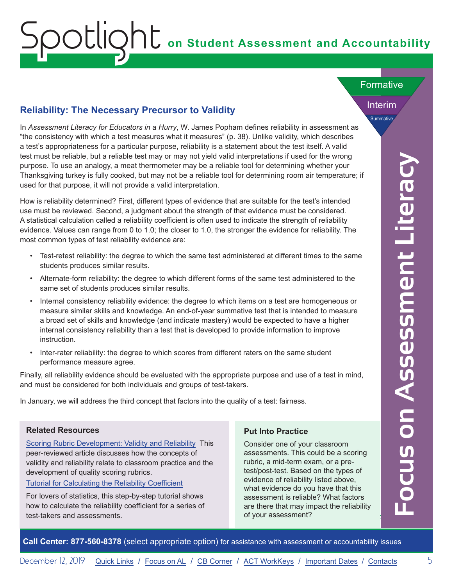#### <span id="page-4-0"></span>**Reliability: The Necessary Precursor to Validity**

In *Assessment Literacy for Educators in a Hurry*, W. James Popham defines reliability in assessment as "the consistency with which a test measures what it measures" (p. 38). Unlike validity, which describes a test's appropriateness for a particular purpose, reliability is a statement about the test itself. A valid test must be reliable, but a reliable test may or may not yield valid interpretations if used for the wrong purpose. To use an analogy, a meat thermometer may be a reliable tool for determining whether your Thanksgiving turkey is fully cooked, but may not be a reliable tool for determining room air temperature; if used for that purpose, it will not provide a valid interpretation.

How is reliability determined? First, different types of evidence that are suitable for the test's intended use must be reviewed. Second, a judgment about the strength of that evidence must be considered. A statistical calculation called a reliability coefficient is often used to indicate the strength of reliability evidence. Values can range from 0 to 1.0; the closer to 1.0, the stronger the evidence for reliability. The most common types of test reliability evidence are:

- Test-retest reliability: the degree to which the same test administered at different times to the same students produces similar results.
- Alternate-form reliability: the degree to which different forms of the same test administered to the same set of students produces similar results.
- Internal consistency reliability evidence: the degree to which items on a test are homogeneous or measure similar skills and knowledge. An end-of-year summative test that is intended to measure a broad set of skills and knowledge (and indicate mastery) would be expected to have a higher internal consistency reliability than a test that is developed to provide information to improve instruction.
- Inter-rater reliability: the degree to which scores from different raters on the same student performance measure agree.

Finally, all reliability evidence should be evaluated with the appropriate purpose and use of a test in mind, and must be considered for both individuals and groups of test-takers.

In January, we will address the third concept that factors into the quality of a test: fairness.

#### **Related Resources**

[Scoring Rubric Development: Validity and Reliability](https://pareonline.net/getvn.asp?v=7&n=10) This peer-reviewed article discusses how the concepts of validity and reliability relate to classroom practice and the development of quality scoring rubrics.

[Tutorial for Calculating the Reliability Coefficient](https://www.tutorialspoint.com/statistics/reliability_coefficient.htm)

For lovers of statistics, this step-by-step tutorial shows how to calculate the reliability coefficient for a series of test-takers and assessments.

#### **Put Into Practice**

Consider one of your classroom assessments. This could be a scoring rubric, a mid-term exam, or a pretest/post-test. Based on the types of evidence of reliability listed above, what evidence do you have that this assessment is reliable? What factors are there that may impact the reliability of your assessment?

Interim Summative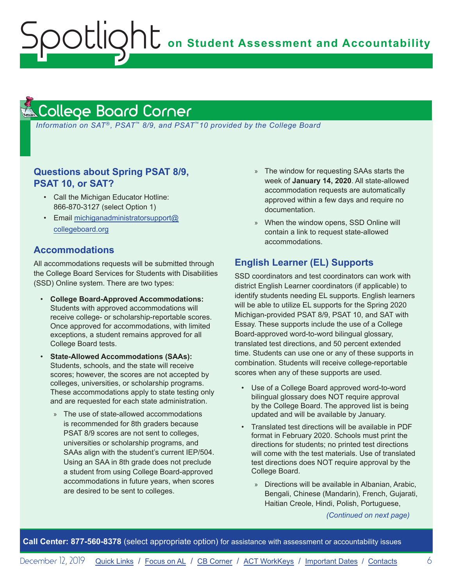**on Student Assessment and Accountability**

#### <span id="page-5-1"></span>College Board Corner **Reminders**

<span id="page-5-0"></span>Spotlight

*Information on SAT*®*, PSAT*™ *8/9, and PSAT*™*10 provided by the College Board*

#### **Questions about Spring PSAT 8/9, PSAT 10, or SAT?**

- Call the Michigan Educator Hotline: 866-870-3127 (select Option 1)
- Email [michiganadministratorsupport@](mailto:michiganadministratorsupport%40collegeboard.org?subject=) [collegeboard.org](mailto:michiganadministratorsupport%40collegeboard.org?subject=)

#### **Accommodations**

All accommodations requests will be submitted through the College Board Services for Students with Disabilities (SSD) Online system. There are two types:

- **College Board-Approved Accommodations:**  Students with approved accommodations will receive college- or scholarship-reportable scores. Once approved for accommodations, with limited exceptions, a student remains approved for all College Board tests.
- **State-Allowed Accommodations (SAAs):** Students, schools, and the state will receive scores; however, the scores are not accepted by colleges, universities, or scholarship programs. These accommodations apply to state testing only and are requested for each state administration.
	- » The use of state-allowed accommodations is recommended for 8th graders because PSAT 8/9 scores are not sent to colleges, universities or scholarship programs, and SAAs align with the student's current IEP/504. Using an SAA in 8th grade does not preclude a student from using College Board-approved accommodations in future years, when scores are desired to be sent to colleges.
- » The window for requesting SAAs starts the week of **January 14, 2020**. All state-allowed accommodation requests are automatically approved within a few days and require no documentation.
- » When the window opens, SSD Online will contain a link to request state-allowed accommodations.

#### **English Learner (EL) Supports**

SSD coordinators and test coordinators can work with district English Learner coordinators (if applicable) to identify students needing EL supports. English learners will be able to utilize EL supports for the Spring 2020 Michigan-provided PSAT 8/9, PSAT 10, and SAT with Essay. These supports include the use of a College Board-approved word-to-word bilingual glossary, translated test directions, and 50 percent extended time. Students can use one or any of these supports in combination. Students will receive college-reportable scores when any of these supports are used.

- Use of a College Board approved word-to-word bilingual glossary does NOT require approval by the College Board. The approved list is being updated and will be available by January.
- Translated test directions will be available in PDF format in February 2020. Schools must print the directions for students; no printed test directions will come with the test materials. Use of translated test directions does NOT require approval by the College Board.
	- » Directions will be available in Albanian, Arabic, Bengali, Chinese (Mandarin), French, Gujarati, Haitian Creole, Hindi, Polish, Portuguese,

*(Continued on next page)*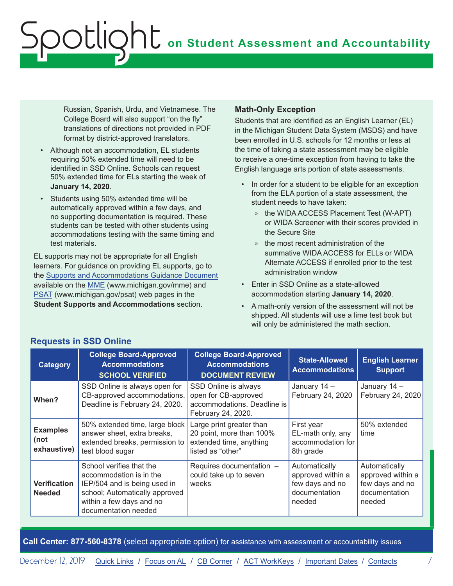Russian, Spanish, Urdu, and Vietnamese. The College Board will also support "on the fly" translations of directions not provided in PDF format by district-approved translators.

- Although not an accommodation, EL students requiring 50% extended time will need to be identified in SSD Online. Schools can request 50% extended time for ELs starting the week of **January 14, 2020**.
- Students using 50% extended time will be automatically approved within a few days, and no supporting documentation is required. These students can be tested with other students using accommodations testing with the same timing and test materials.

EL supports may not be appropriate for all English learners. For guidance on providing EL supports, go to the [Supports and Accommodations Guidance Document](https://www.michigan.gov/documents/mde/Michigan_Accommodations_Manual.final_480016_7.pdf)  available on the [MME](www.michigan.gov/mme) (www.michigan.gov/mme) and [PSAT](http://www.michigan.gov/psat) (www.michigan.gov/psat) web pages in the **Student Supports and Accommodations** section.

#### **Math-Only Exception**

Students that are identified as an English Learner (EL) in the Michigan Student Data System (MSDS) and have been enrolled in U.S. schools for 12 months or less at the time of taking a state assessment may be eligible to receive a one-time exception from having to take the English language arts portion of state assessments.

- In order for a student to be eligible for an exception from the ELA portion of a state assessment, the student needs to have taken:
	- » the WIDA ACCESS Placement Test (W-APT) or WIDA Screener with their scores provided in the Secure Site
	- » the most recent administration of the summative WIDA ACCESS for ELLs or WIDA Alternate ACCESS if enrolled prior to the test administration window
- Enter in SSD Online as a state-allowed accommodation starting **January 14, 2020**.
- A math-only version of the assessment will not be shipped. All students will use a lime test book but will only be administered the math section.

| Category                               | <b>College Board-Approved</b><br><b>Accommodations</b><br><b>SCHOOL VERIFIED</b>                                                                                          | <b>College Board-Approved</b><br><b>Accommodations</b><br><b>DOCUMENT REVIEW</b>                     | <b>State-Allowed</b><br><b>Accommodations</b>                                    | <b>English Learner</b><br><b>Support</b>                                         |
|----------------------------------------|---------------------------------------------------------------------------------------------------------------------------------------------------------------------------|------------------------------------------------------------------------------------------------------|----------------------------------------------------------------------------------|----------------------------------------------------------------------------------|
| When?                                  | SSD Online is always open for<br>CB-approved accommodations.<br>Deadline is February 24, 2020.                                                                            | SSD Online is always<br>open for CB-approved<br>accommodations. Deadline is<br>February 24, 2020.    | January 14 -<br>February 24, 2020                                                | January 14 -<br>February 24, 2020                                                |
| <b>Examples</b><br>(not<br>exhaustive) | 50% extended time, large block<br>answer sheet, extra breaks,<br>extended breaks, permission to<br>test blood sugar                                                       | Large print greater than<br>20 point, more than 100%<br>extended time, anything<br>listed as "other" | First year<br>EL-math only, any<br>accommodation for<br>8th grade                | 50% extended<br>time                                                             |
| Verification<br><b>Needed</b>          | School verifies that the<br>accommodation is in the<br>IEP/504 and is being used in<br>school; Automatically approved<br>within a few days and no<br>documentation needed | Requires documentation -<br>could take up to seven<br>weeks                                          | Automatically<br>approved within a<br>few days and no<br>documentation<br>needed | Automatically<br>approved within a<br>few days and no<br>documentation<br>needed |

#### **Requests in SSD Online**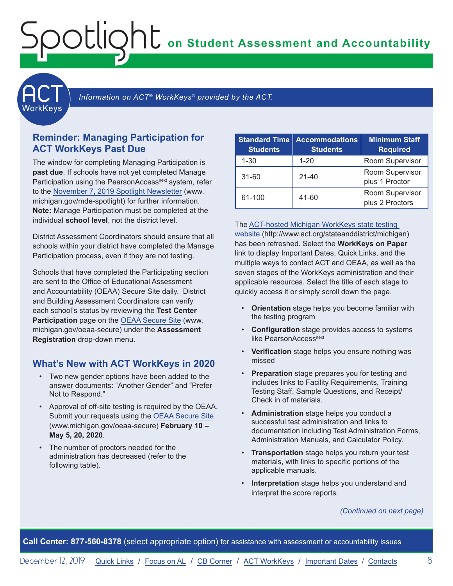**on Student Assessment and Accountability**

**ACT** 

Information on ACT<sup>®</sup> WorkKeys<sup>®</sup> provided by the ACT.

#### **Reminder: Managing Participation for ACT WorkKeys Past Due**

<span id="page-7-0"></span>Spotlight

The window for completing Managing Participation is **past due**. If schools have not yet completed Manage Participation using the PearsonAccess<sup>next</sup> system, refer to the [November 7, 2019 Spotlight Newsletter](https://www.michigan.gov/documents/mde/Spotlight_11-7-19_670956_7.pdf) (www. michigan.gov/mde-spotlight) for further information. **Note:** Manage Participation must be completed at the individual **school level**, not the district level.

District Assessment Coordinators should ensure that all schools within your district have completed the Manage Participation process, even if they are not testing.

Schools that have completed the Participating section are sent to the Office of Educational Assessment and Accountability (OEAA) Secure Site daily. District and Building Assessment Coordinators can verify each school's status by reviewing the **Test Center Participation** page on the [OEAA Secure Site](http://www.michigan.gov/oeaa-secure) (www. michigan.gov/oeaa-secure) under the **Assessment Registration** drop-down menu.

#### **What's New with ACT WorkKeys in 2020**

- Two new gender options have been added to the answer documents: "Another Gender" and "Prefer Not to Respond."
- Approval of off-site testing is required by the OEAA. Submit your requests using the [OEAA Secure Site](http://www.michigan.gov/oeaa-secure) (www.michigan.gov/oeaa-secure) **February 10 – May 5, 20, 2020**.
- The number of proctors needed for the administration has decreased (refer to the following table).

| <b>Standard Time</b><br><b>Students</b> | <b>Accommodations</b><br><b>Students</b> | <b>Minimum Staff</b><br><b>Required</b> |
|-----------------------------------------|------------------------------------------|-----------------------------------------|
| $1 - 30$                                | $1 - 20$                                 | Room Supervisor                         |
| $31 - 60$                               | $21 - 40$                                | Room Supervisor<br>plus 1 Proctor       |
| 61-100                                  | $41 - 60$                                | Room Supervisor<br>plus 2 Proctors      |

The [ACT-hosted Michigan WorkKeys state testing](http://www.act.org/stateanddistrict/michigan)  [website](http://www.act.org/stateanddistrict/michigan) (http://www.act.org/stateanddistrict/michigan) has been refreshed. Select the **WorkKeys on Paper** link to display Important Dates, Quick Links, and the multiple ways to contact ACT and OEAA, as well as the seven stages of the WorkKeys administration and their applicable resources. Select the title of each stage to quickly access it or simply scroll down the page.

- **Orientation** stage helps you become familiar with the testing program
- **Configuration** stage provides access to systems like PearsonAccess<sup>next</sup>
- **Verification** stage helps you ensure nothing was missed
- **Preparation** stage prepares you for testing and includes links to Facility Requirements, Training Testing Staff, Sample Questions, and Receipt/ Check in of materials.
- **Administration** stage helps you conduct a successful test administration and links to documentation including Test Administration Forms, Administration Manuals, and Calculator Policy.
- **Transportation** stage helps you return your test materials, with links to specific portions of the applicable manuals.
- **Interpretation** stage helps you understand and interpret the score reports.

*(Continued on next page)*

**Call Center: 877-560-8378** (select appropriate option) for assistance with assessment or accountability issues

December 12, 2019 [Quick Links](#page-0-0) / [Focus on AL](#page-4-0) / [CB Corner](#page-5-1) / ACT WorkKeys / [Important Dates](#page-9-1) / [Contacts](#page-10-1) 8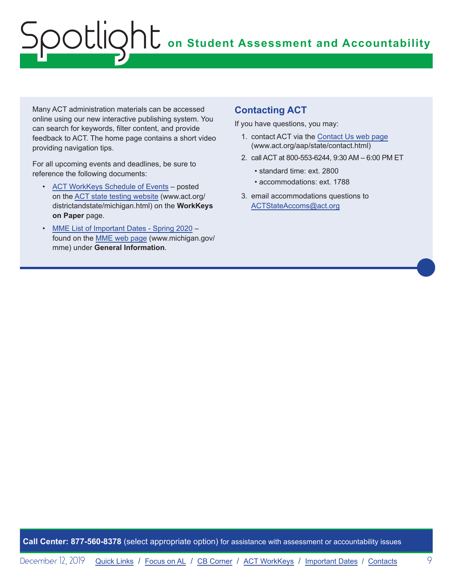Many ACT administration materials can be accessed online using our new interactive publishing system. You can search for keywords, filter content, and provide feedback to ACT. The home page contains a short video providing navigation tips.

For all upcoming events and deadlines, be sure to reference the following documents:

- [ACT WorkKeys Schedule of Events](http://www.act.org/content/dam/act/unsecured/documents/ScheduleofEventsWorkKeys-MI.pdf)  posted on the [ACT state testing website](http://www.act.org/content/act/en/products-and-services/state-and-district-solutions/michigan.html) (www.act.org/ districtandstate/michigan.html) on the **WorkKeys on Paper** page.
- [MME List of Important Dates Spring 2020](https://www.michigan.gov/documents/mde/MME_List_of_Important_Dates_668755_7.pdf) found on the [MME web page](www.michigan.gov/mme) (www.michigan.gov/ mme) under **General Information**.

#### **Contacting ACT**

If you have questions, you may:

- 1. contact ACT via the [Contact Us web page](http://www.act.org/aap/state/contact.html) [\(www.act.org/aap/state/contact.html](https://www.act.org/aap/state/contact.html))
- 2. call ACT at 800-553-6244, 9:30 AM 6:00 PM ET
	- standard time: ext. 2800
	- accommodations: ext. 1788
- 3. email accommodations questions to [ACTStateAccoms@act.org](mailto:ACTStateAccoms%40act.org?subject=)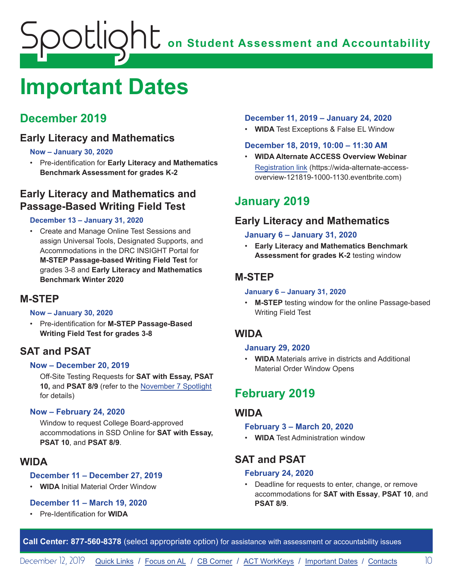## <span id="page-9-1"></span><span id="page-9-0"></span>**Important Dates**

## **December 2019**

## **Early Literacy and Mathematics**

#### **Now – January 30, 2020**

• Pre-identification for **Early Literacy and Mathematics Benchmark Assessment for grades K-2**

## **Early Literacy and Mathematics and Passage-Based Writing Field Test**

#### **December 13 – January 31, 2020**

• Create and Manage Online Test Sessions and assign Universal Tools, Designated Supports, and Accommodations in the DRC INSIGHT Portal for **M-STEP Passage-based Writing Field Test** for grades 3-8 and **Early Literacy and Mathematics Benchmark Winter 2020**

### **M-STEP**

#### **Now – January 30, 2020**

• Pre-identification for **M-STEP Passage-Based Writing Field Test for grades 3-8**

## **SAT and PSAT**

#### **Now – December 20, 2019**

Off-Site Testing Requests for **SAT with Essay, PSAT 10,** and **PSAT 8/9** (refer to the [November 7 Spotlight](https://www.michigan.gov/documents/mde/Spotlight_11-7-19_670956_7.pdf) for details)

#### **Now – February 24, 2020**

Window to request College Board-approved accommodations in SSD Online for **SAT with Essay, PSAT 10**, and **PSAT 8/9**.

#### **WIDA**

#### **December 11 – December 27, 2019**

• **WIDA** Initial Material Order Window

#### **December 11 – March 19, 2020**

• Pre-Identification for **WIDA**

#### **December 11, 2019 – January 24, 2020**

• **WIDA** Test Exceptions & False EL Window

#### **December 18, 2019, 10:00 – 11:30 AM**

• **WIDA Alternate ACCESS Overview Webinar** [Registration link](https://wida-alternate-access-overview-121819-1000-1130.eventbrite.com) (https://wida-alternate-accessoverview-121819-1000-1130.eventbrite.com)

## **January 2019**

## **Early Literacy and Mathematics**

#### **January 6 – January 31, 2020**

• **Early Literacy and Mathematics Benchmark Assessment for grades K-2** testing window

## **M-STEP**

#### **January 6 – January 31, 2020**

• **M-STEP** testing window for the online Passage-based Writing Field Test

### **WIDA**

#### **January 29, 2020**

• **WIDA** Materials arrive in districts and Additional Material Order Window Opens

## **February 2019**

#### **WIDA**

#### **February 3 – March 20, 2020**

• **WIDA** Test Administration window

## **SAT and PSAT**

#### **February 24, 2020**

• Deadline for requests to enter, change, or remove accommodations for **SAT with Essay**, **PSAT 10**, and **PSAT 8/9**.